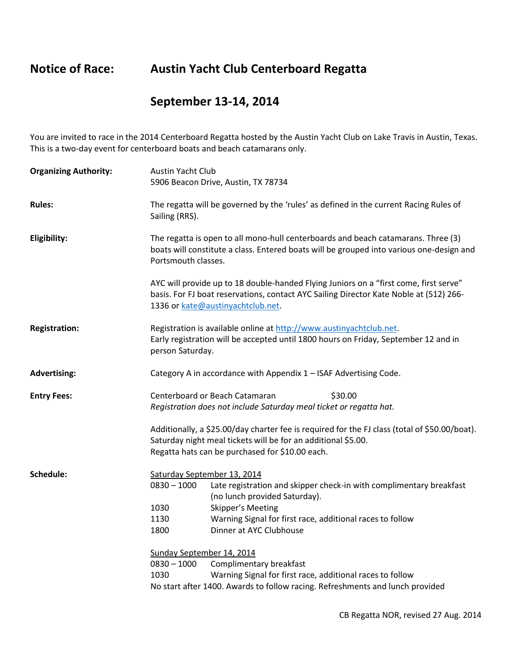## **Notice of Race: Austin Yacht Club Centerboard Regatta**

## **September 13-14, 2014**

You are invited to race in the 2014 Centerboard Regatta hosted by the Austin Yacht Club on Lake Travis in Austin, Texas. This is a two-day event for centerboard boats and beach catamarans only.

| <b>Organizing Authority:</b> | Austin Yacht Club<br>5906 Beacon Drive, Austin, TX 78734                                                                                                                                                                                                                                  |
|------------------------------|-------------------------------------------------------------------------------------------------------------------------------------------------------------------------------------------------------------------------------------------------------------------------------------------|
| <b>Rules:</b>                | The regatta will be governed by the 'rules' as defined in the current Racing Rules of<br>Sailing (RRS).                                                                                                                                                                                   |
| Eligibility:                 | The regatta is open to all mono-hull centerboards and beach catamarans. Three (3)<br>boats will constitute a class. Entered boats will be grouped into various one-design and<br>Portsmouth classes.                                                                                      |
|                              | AYC will provide up to 18 double-handed Flying Juniors on a "first come, first serve"<br>basis. For FJ boat reservations, contact AYC Sailing Director Kate Noble at (512) 266-<br>1336 or kate@austinyachtclub.net.                                                                      |
| <b>Registration:</b>         | Registration is available online at http://www.austinyachtclub.net.<br>Early registration will be accepted until 1800 hours on Friday, September 12 and in<br>person Saturday.                                                                                                            |
| <b>Advertising:</b>          | Category A in accordance with Appendix 1 - ISAF Advertising Code.                                                                                                                                                                                                                         |
| <b>Entry Fees:</b>           | Centerboard or Beach Catamaran<br>\$30.00<br>Registration does not include Saturday meal ticket or regatta hat.                                                                                                                                                                           |
|                              | Additionally, a \$25.00/day charter fee is required for the FJ class (total of \$50.00/boat).<br>Saturday night meal tickets will be for an additional \$5.00.<br>Regatta hats can be purchased for \$10.00 each.                                                                         |
| Schedule:                    | Saturday September 13, 2014<br>$0830 - 1000$<br>Late registration and skipper check-in with complimentary breakfast<br>(no lunch provided Saturday).<br>1030<br>Skipper's Meeting<br>1130<br>Warning Signal for first race, additional races to follow<br>Dinner at AYC Clubhouse<br>1800 |
|                              | Sunday September 14, 2014<br>$0830 - 1000$<br>Complimentary breakfast<br>1030<br>Warning Signal for first race, additional races to follow<br>No start after 1400. Awards to follow racing. Refreshments and lunch provided                                                               |